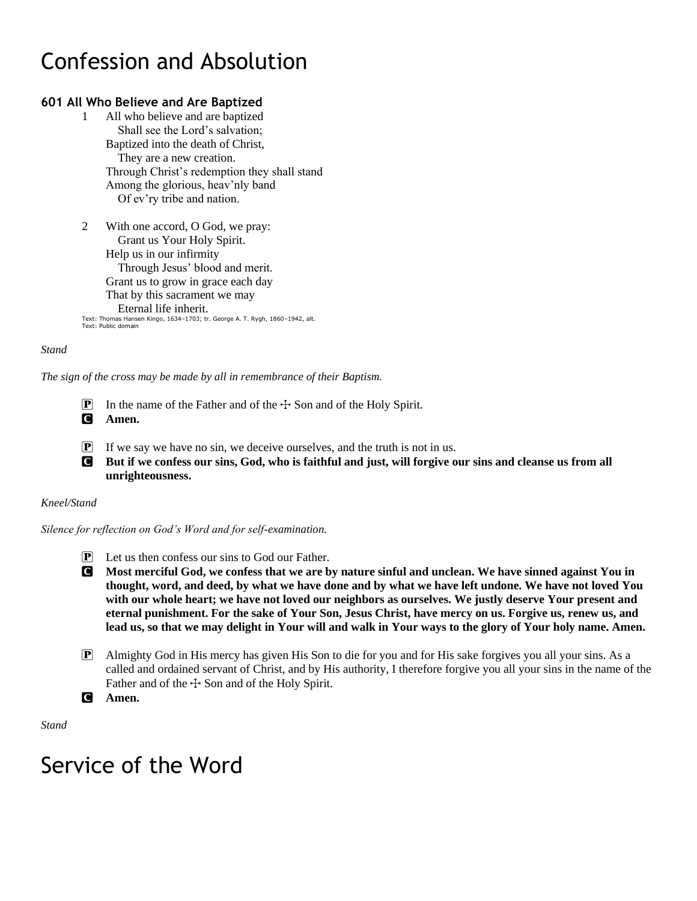# Confession and Absolution

# **601 All Who Believe and Are Baptized**

- 1 All who believe and are baptized Shall see the Lord's salvation; Baptized into the death of Christ, They are a new creation. Through Christ's redemption they shall stand Among the glorious, heav'nly band Of ev'ry tribe and nation.
- 2 With one accord, O God, we pray: Grant us Your Holy Spirit. Help us in our infirmity Through Jesus' blood and merit. Grant us to grow in grace each day That by this sacrament we may Eternal life inherit. Text: Thomas Hansen Kingo, 1634–1703; tr. George A. T. Rygh, 1860–1942, alt. Text: Public domain

#### *Stand*

*The sign of the cross may be made by all in remembrance of their Baptism.*

**P** In the name of the Father and of the  $\pm$  Son and of the Holy Spirit.

C **Amen.**

- $\mathbf{P}$  If we say we have no sin, we deceive ourselves, and the truth is not in us.
- C **But if we confess our sins, God, who is faithful and just, will forgive our sins and cleanse us from all unrighteousness.**

### *Kneel/Stand*

*Silence for reflection on God's Word and for self-examination.*

- P Let us then confess our sins to God our Father.
- C **Most merciful God, we confess that we are by nature sinful and unclean. We have sinned against You in thought, word, and deed, by what we have done and by what we have left undone. We have not loved You with our whole heart; we have not loved our neighbors as ourselves. We justly deserve Your present and eternal punishment. For the sake of Your Son, Jesus Christ, have mercy on us. Forgive us, renew us, and lead us, so that we may delight in Your will and walk in Your ways to the glory of Your holy name. Amen.**
- P Almighty God in His mercy has given His Son to die for you and for His sake forgives you all your sins. As a called and ordained servant of Christ, and by His authority, I therefore forgive you all your sins in the name of the Father and of the  $\pm$  Son and of the Holy Spirit.
- C **Amen.**

*Stand*

# Service of the Word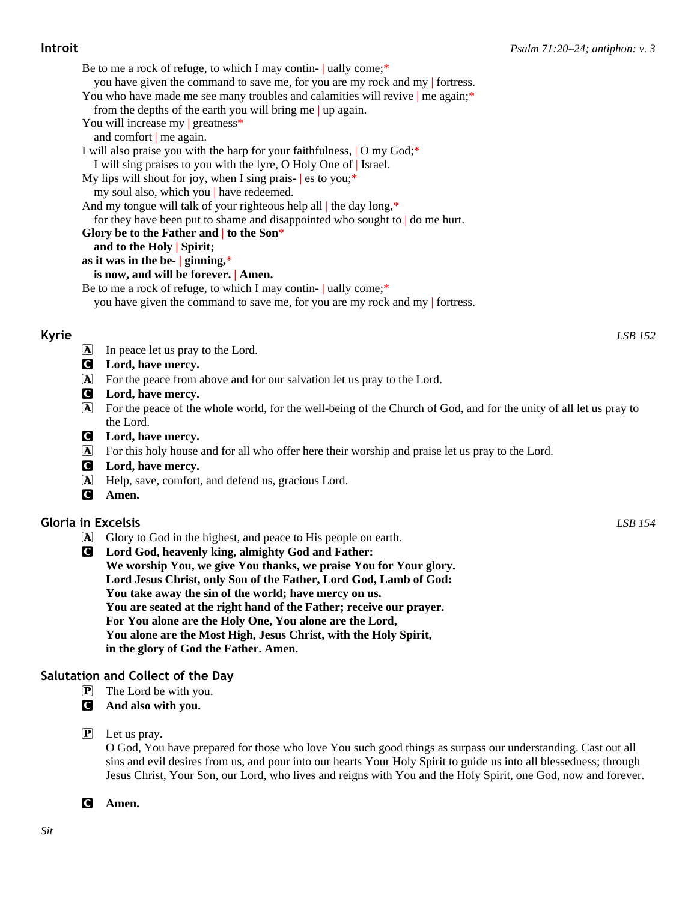Be to me a rock of refuge, to which I may contin- | ually come;\* you have given the command to save me, for you are my rock and my | fortress. You who have made me see many troubles and calamities will revive | me again;\* from the depths of the earth you will bring me | up again. You will increase my greatness<sup>\*</sup> and comfort | me again. I will also praise you with the harp for your faithfulness, | O my God;\* I will sing praises to you with the lyre, O Holy One of | Israel. My lips will shout for joy, when I sing prais-  $|e$  is to you;\* my soul also, which you | have redeemed. And my tongue will talk of your righteous help all | the day long,\* for they have been put to shame and disappointed who sought to | do me hurt. **Glory be to the Father and | to the Son**\* **and to the Holy | Spirit; as it was in the be- | ginning,**\* **is now, and will be forever. | Amen.** Be to me a rock of refuge, to which I may contin- | ually come;\* you have given the command to save me, for you are my rock and my | fortress. **Kyrie** *LSB 152* A In peace let us pray to the Lord. C **Lord, have mercy.** A For the peace from above and for our salvation let us pray to the Lord. C **Lord, have mercy.** A For the peace of the whole world, for the well-being of the Church of God, and for the unity of all let us pray to the Lord. C **Lord, have mercy.** A For this holy house and for all who offer here their worship and praise let us pray to the Lord. C **Lord, have mercy.** A Help, save, comfort, and defend us, gracious Lord.

C **Amen.**

# **Gloria in Excelsis** *LSB 154*

- A Glory to God in the highest, and peace to His people on earth.
- C **Lord God, heavenly king, almighty God and Father: We worship You, we give You thanks, we praise You for Your glory. Lord Jesus Christ, only Son of the Father, Lord God, Lamb of God: You take away the sin of the world; have mercy on us. You are seated at the right hand of the Father; receive our prayer. For You alone are the Holy One, You alone are the Lord, You alone are the Most High, Jesus Christ, with the Holy Spirit, in the glory of God the Father. Amen.**

### **Salutation and Collect of the Day**

- **P** The Lord be with you.
- C **And also with you.**
- P Let us pray.

O God, You have prepared for those who love You such good things as surpass our understanding. Cast out all sins and evil desires from us, and pour into our hearts Your Holy Spirit to guide us into all blessedness; through Jesus Christ, Your Son, our Lord, who lives and reigns with You and the Holy Spirit, one God, now and forever.

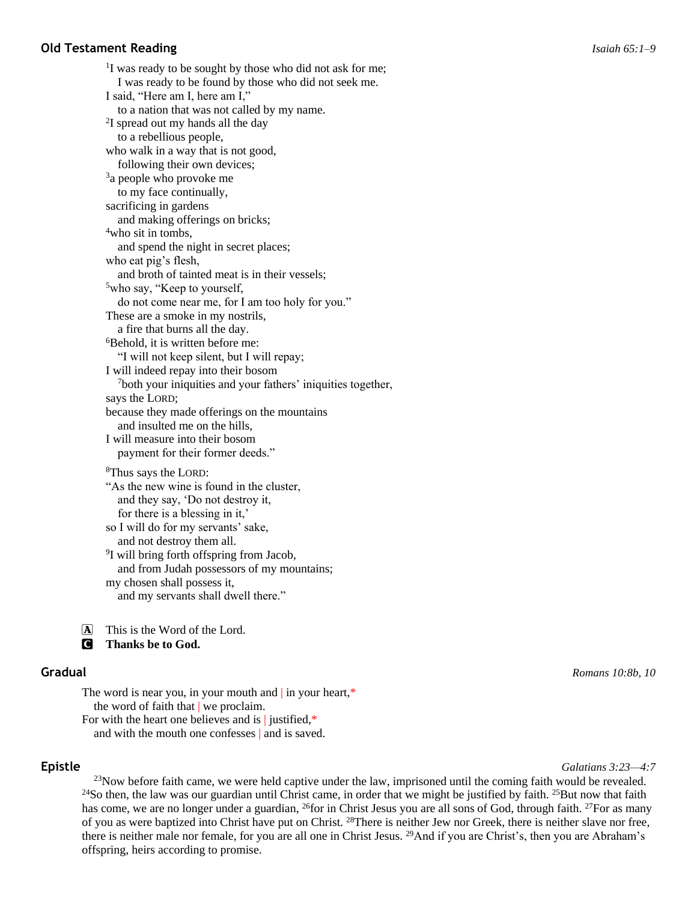#### **Old Testament Reading** *Isaiah 65:1–9*

<sup>1</sup>I was ready to be sought by those who did not ask for me; I was ready to be found by those who did not seek me. I said, "Here am I, here am I," to a nation that was not called by my name. 2 I spread out my hands all the day to a rebellious people, who walk in a way that is not good, following their own devices; <sup>3</sup>a people who provoke me to my face continually, sacrificing in gardens and making offerings on bricks; <sup>4</sup>who sit in tombs. and spend the night in secret places; who eat pig's flesh, and broth of tainted meat is in their vessels; <sup>5</sup>who say, "Keep to yourself, do not come near me, for I am too holy for you." These are a smoke in my nostrils, a fire that burns all the day. <sup>6</sup>Behold, it is written before me: "I will not keep silent, but I will repay; I will indeed repay into their bosom <sup>7</sup>both your iniquities and your fathers' iniquities together, says the LORD; because they made offerings on the mountains and insulted me on the hills, I will measure into their bosom payment for their former deeds." <sup>8</sup>Thus says the LORD: "As the new wine is found in the cluster, and they say, 'Do not destroy it, for there is a blessing in it,' so I will do for my servants' sake, and not destroy them all. 9 I will bring forth offspring from Jacob,

and from Judah possessors of my mountains; my chosen shall possess it, and my servants shall dwell there."

A This is the Word of the Lord. C **Thanks be to God.**

### **Gradual** *Romans 10:8b, 10*

The word is near you, in your mouth and | in your heart,\* the word of faith that | we proclaim. For with the heart one believes and is | justified,\* and with the mouth one confesses | and is saved.

**Epistle** *Galatians 3:23—4:7*

<sup>23</sup>Now before faith came, we were held captive under the law, imprisoned until the coming faith would be revealed.  $24$ So then, the law was our guardian until Christ came, in order that we might be justified by faith.  $25$ But now that faith has come, we are no longer under a guardian, <sup>26</sup>for in Christ Jesus you are all sons of God, through faith. <sup>27</sup>For as many of you as were baptized into Christ have put on Christ. <sup>28</sup>There is neither Jew nor Greek, there is neither slave nor free, there is neither male nor female, for you are all one in Christ Jesus. <sup>29</sup>And if you are Christ's, then you are Abraham's offspring, heirs according to promise.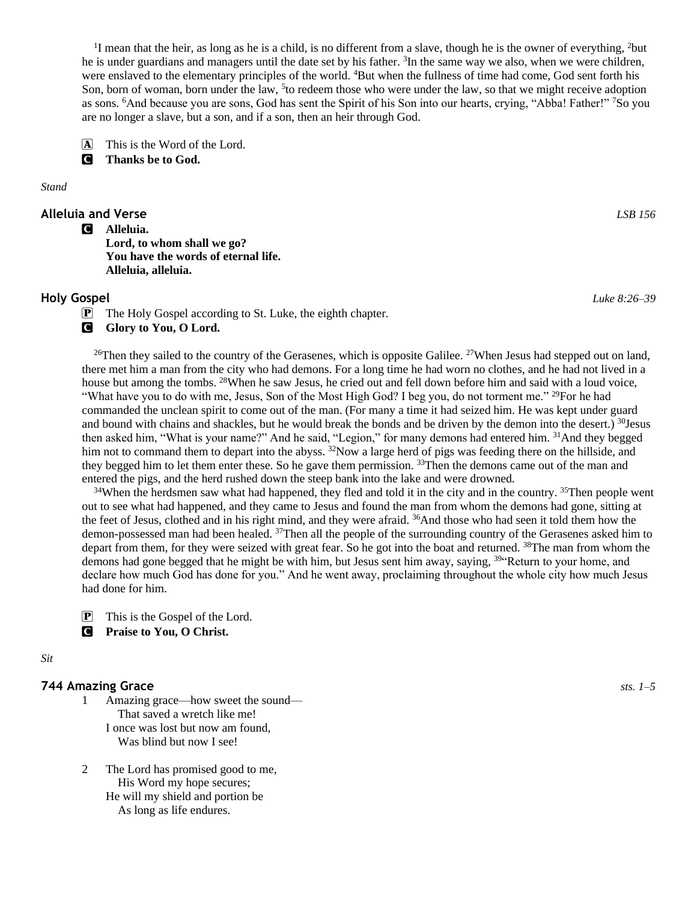<sup>1</sup>I mean that the heir, as long as he is a child, is no different from a slave, though he is the owner of everything, <sup>2</sup>but he is under guardians and managers until the date set by his father. <sup>3</sup>In the same way we also, when we were children, were enslaved to the elementary principles of the world. <sup>4</sup>But when the fullness of time had come, God sent forth his Son, born of woman, born under the law, <sup>5</sup> to redeem those who were under the law, so that we might receive adoption as sons. <sup>6</sup>And because you are sons, God has sent the Spirit of his Son into our hearts, crying, "Abba! Father!" <sup>7</sup>So you are no longer a slave, but a son, and if a son, then an heir through God.

A This is the Word of the Lord.

C **Thanks be to God.**

*Stand*

# **Alleluia and Verse** *LSB 156*

C **Alleluia.**

**Lord, to whom shall we go? You have the words of eternal life. Alleluia, alleluia.**

### **Holy Gospel** *Luke 8:26–39*

P The Holy Gospel according to St. Luke, the eighth chapter.

## **G** Glory to You, O Lord.

<sup>26</sup>Then they sailed to the country of the Gerasenes, which is opposite Galilee. <sup>27</sup>When Jesus had stepped out on land, there met him a man from the city who had demons. For a long time he had worn no clothes, and he had not lived in a house but among the tombs. <sup>28</sup>When he saw Jesus, he cried out and fell down before him and said with a loud voice, "What have you to do with me, Jesus, Son of the Most High God? I beg you, do not torment me." <sup>29</sup>For he had commanded the unclean spirit to come out of the man. (For many a time it had seized him. He was kept under guard and bound with chains and shackles, but he would break the bonds and be driven by the demon into the desert.) <sup>30</sup>Jesus then asked him, "What is your name?" And he said, "Legion," for many demons had entered him. <sup>31</sup>And they begged him not to command them to depart into the abyss. <sup>32</sup>Now a large herd of pigs was feeding there on the hillside, and they begged him to let them enter these. So he gave them permission. <sup>33</sup>Then the demons came out of the man and entered the pigs, and the herd rushed down the steep bank into the lake and were drowned.

<sup>34</sup>When the herdsmen saw what had happened, they fled and told it in the city and in the country. <sup>35</sup>Then people went out to see what had happened, and they came to Jesus and found the man from whom the demons had gone, sitting at the feet of Jesus, clothed and in his right mind, and they were afraid. <sup>36</sup>And those who had seen it told them how the demon-possessed man had been healed. <sup>37</sup>Then all the people of the surrounding country of the Gerasenes asked him to depart from them, for they were seized with great fear. So he got into the boat and returned. <sup>38</sup>The man from whom the demons had gone begged that he might be with him, but Jesus sent him away, saying, <sup>39"</sup>Return to your home, and declare how much God has done for you." And he went away, proclaiming throughout the whole city how much Jesus had done for him.

P This is the Gospel of the Lord.

C **Praise to You, O Christ.**

#### *Sit*

### **744 Amazing Grace** *sts. 1–5*

- 1 Amazing grace—how sweet the sound— That saved a wretch like me! I once was lost but now am found, Was blind but now I see!
- 2 The Lord has promised good to me, His Word my hope secures; He will my shield and portion be As long as life endures.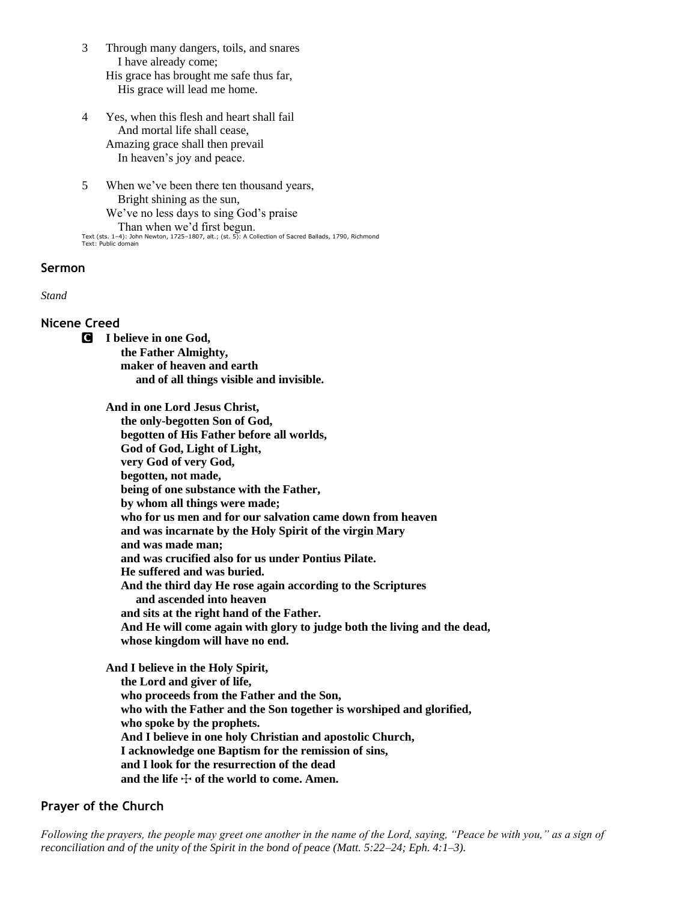- 3 Through many dangers, toils, and snares I have already come; His grace has brought me safe thus far, His grace will lead me home.
- 4 Yes, when this flesh and heart shall fail And mortal life shall cease, Amazing grace shall then prevail In heaven's joy and peace.
- 5 When we've been there ten thousand years, Bright shining as the sun, We've no less days to sing God's praise Than when we'd first begun. Text (sts. 1–4): John Newton, 1725–1807, alt.; (st. 5): A Collection of Sacred Ballads, 1790, Richmond Text: Public domain

#### **Sermon**

*Stand*

**Nicene Creed** C **I believe in one God, the Father Almighty, maker of heaven and earth and of all things visible and invisible. And in one Lord Jesus Christ, the only-begotten Son of God, begotten of His Father before all worlds, God of God, Light of Light, very God of very God, begotten, not made, being of one substance with the Father, by whom all things were made; who for us men and for our salvation came down from heaven and was incarnate by the Holy Spirit of the virgin Mary and was made man; and was crucified also for us under Pontius Pilate. He suffered and was buried. And the third day He rose again according to the Scriptures and ascended into heaven and sits at the right hand of the Father. And He will come again with glory to judge both the living and the dead, whose kingdom will have no end. And I believe in the Holy Spirit, the Lord and giver of life, who proceeds from the Father and the Son, who with the Father and the Son together is worshiped and glorified, who spoke by the prophets. And I believe in one holy Christian and apostolic Church, I acknowledge one Baptism for the remission of sins, and I look for the resurrection of the dead** and the life  $\div$  of the world to come. Amen.

### **Prayer of the Church**

*Following the prayers, the people may greet one another in the name of the Lord, saying, "Peace be with you," as a sign of reconciliation and of the unity of the Spirit in the bond of peace (Matt. 5:22–24; Eph. 4:1–3).*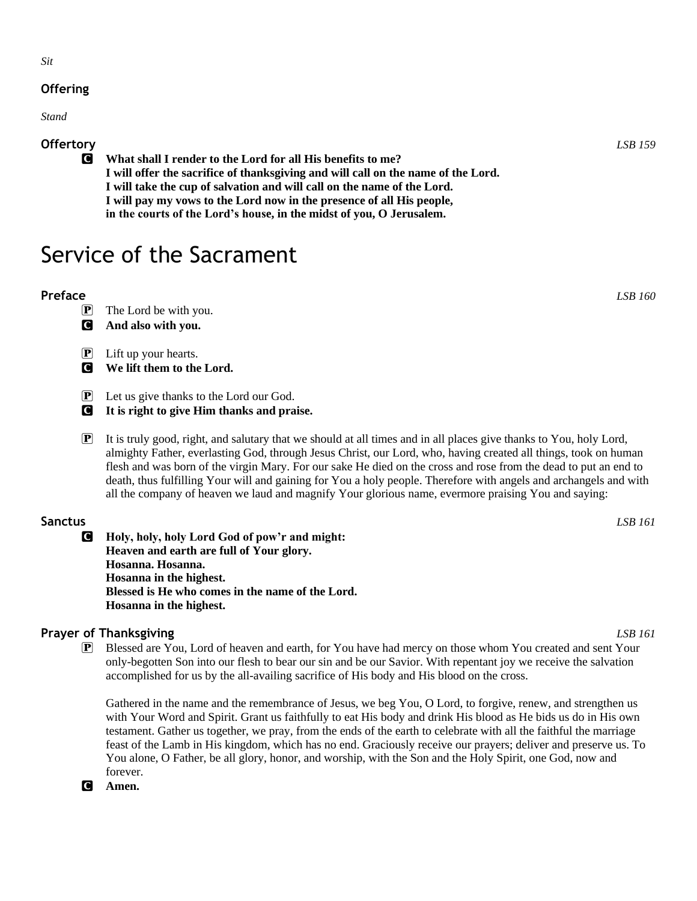# **Offering**

*Stand*

### **Offertory** *LSB 159*

C **What shall I render to the Lord for all His benefits to me? I will offer the sacrifice of thanksgiving and will call on the name of the Lord. I will take the cup of salvation and will call on the name of the Lord. I will pay my vows to the Lord now in the presence of all His people, in the courts of the Lord's house, in the midst of you, O Jerusalem.**

# Service of the Sacrament

### **Preface** *LSB 160*

P The Lord be with you.

C **And also with you.**

 $\mathbf{P}$  Lift up your hearts.

- C **We lift them to the Lord.**
- P Let us give thanks to the Lord our God.
- C **It is right to give Him thanks and praise.**
- $\mathbb{P}$  It is truly good, right, and salutary that we should at all times and in all places give thanks to You, holy Lord, almighty Father, everlasting God, through Jesus Christ, our Lord, who, having created all things, took on human flesh and was born of the virgin Mary. For our sake He died on the cross and rose from the dead to put an end to death, thus fulfilling Your will and gaining for You a holy people. Therefore with angels and archangels and with all the company of heaven we laud and magnify Your glorious name, evermore praising You and saying:

# **Sanctus** *LSB 161*

C **Holy, holy, holy Lord God of pow'r and might: Heaven and earth are full of Your glory. Hosanna. Hosanna. Hosanna in the highest. Blessed is He who comes in the name of the Lord. Hosanna in the highest.**

# **Prayer of Thanksgiving** *LSB 161*

P Blessed are You, Lord of heaven and earth, for You have had mercy on those whom You created and sent Your only-begotten Son into our flesh to bear our sin and be our Savior. With repentant joy we receive the salvation accomplished for us by the all-availing sacrifice of His body and His blood on the cross.

Gathered in the name and the remembrance of Jesus, we beg You, O Lord, to forgive, renew, and strengthen us with Your Word and Spirit. Grant us faithfully to eat His body and drink His blood as He bids us do in His own testament. Gather us together, we pray, from the ends of the earth to celebrate with all the faithful the marriage feast of the Lamb in His kingdom, which has no end. Graciously receive our prayers; deliver and preserve us. To You alone, O Father, be all glory, honor, and worship, with the Son and the Holy Spirit, one God, now and forever.



*Sit*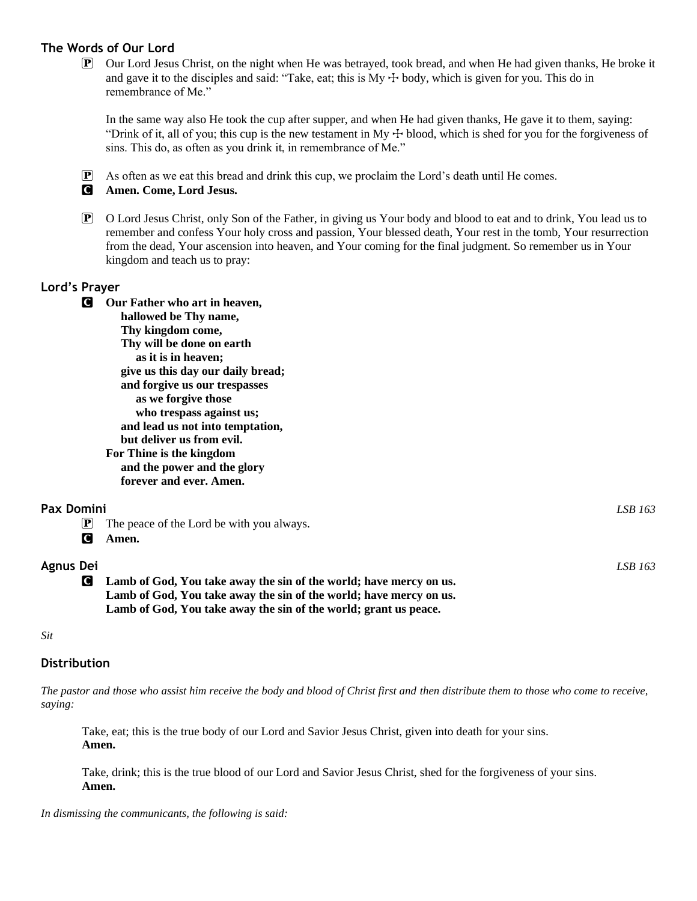#### **The Words of Our Lord**

P Our Lord Jesus Christ, on the night when He was betrayed, took bread, and when He had given thanks, He broke it and gave it to the disciples and said: "Take, eat; this is  $My + body$ , which is given for you. This do in remembrance of Me."

In the same way also He took the cup after supper, and when He had given thanks, He gave it to them, saying: "Drink of it, all of you; this cup is the new testament in My  $\pm$  blood, which is shed for you for the forgiveness of sins. This do, as often as you drink it, in remembrance of Me."

 $\mathbf{P}$  As often as we eat this bread and drink this cup, we proclaim the Lord's death until He comes.

#### C **Amen. Come, Lord Jesus.**

P O Lord Jesus Christ, only Son of the Father, in giving us Your body and blood to eat and to drink, You lead us to remember and confess Your holy cross and passion, Your blessed death, Your rest in the tomb, Your resurrection from the dead, Your ascension into heaven, and Your coming for the final judgment. So remember us in Your kingdom and teach us to pray:

#### **Lord's Prayer**

# C **Our Father who art in heaven, hallowed be Thy name,**

 **Thy kingdom come, Thy will be done on earth as it is in heaven; give us this day our daily bread; and forgive us our trespasses as we forgive those who trespass against us; and lead us not into temptation, but deliver us from evil. For Thine is the kingdom and the power and the glory forever and ever. Amen.**

#### **Pax Domini** *LSB 163*

P The peace of the Lord be with you always.

C **Amen.**

#### **Agnus Dei** *LSB 163*

C **Lamb of God, You take away the sin of the world; have mercy on us. Lamb of God, You take away the sin of the world; have mercy on us. Lamb of God, You take away the sin of the world; grant us peace.**

#### *Sit*

## **Distribution**

*The pastor and those who assist him receive the body and blood of Christ first and then distribute them to those who come to receive, saying:*

Take, eat; this is the true body of our Lord and Savior Jesus Christ, given into death for your sins. **Amen.**

Take, drink; this is the true blood of our Lord and Savior Jesus Christ, shed for the forgiveness of your sins. **Amen.**

*In dismissing the communicants, the following is said:*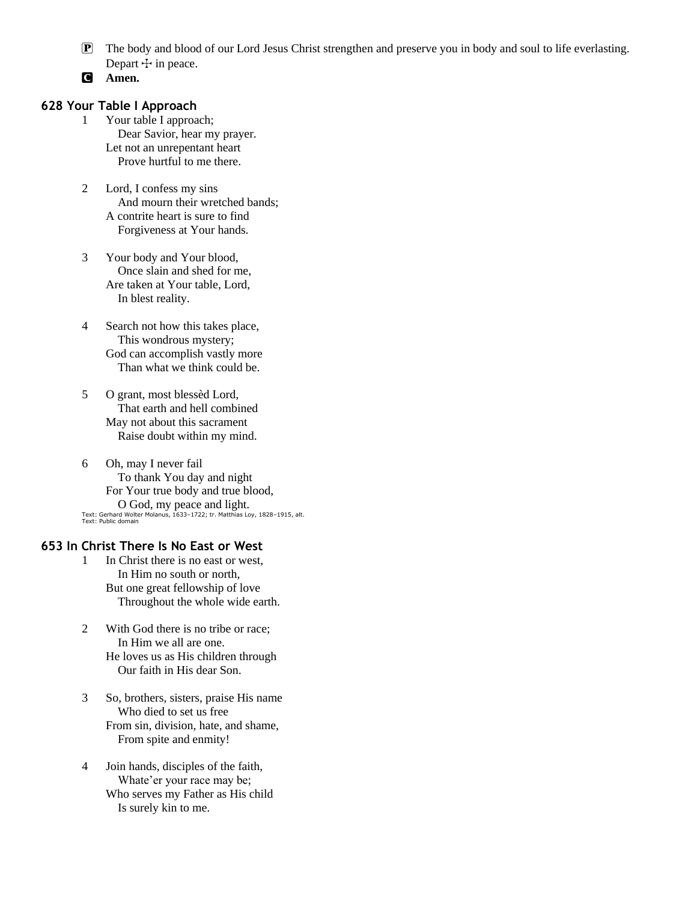- P The body and blood of our Lord Jesus Christ strengthen and preserve you in body and soul to life everlasting. Depart  $\pm$  in peace.
- C **Amen.**

## **628 Your Table I Approach**

- 1 Your table I approach; Dear Savior, hear my prayer. Let not an unrepentant heart Prove hurtful to me there.
- 2 Lord, I confess my sins And mourn their wretched bands; A contrite heart is sure to find Forgiveness at Your hands.
- 3 Your body and Your blood, Once slain and shed for me, Are taken at Your table, Lord, In blest reality.
- 4 Search not how this takes place, This wondrous mystery; God can accomplish vastly more Than what we think could be.
- 5 O grant, most blessèd Lord, That earth and hell combined May not about this sacrament Raise doubt within my mind.
- 6 Oh, may I never fail To thank You day and night For Your true body and true blood, O God, my peace and light. Text: Gerhard Wolter Molanus, 1633–1722; tr. Matthias Loy, 1828–1915, alt. Text: Public domain

### **653 In Christ There Is No East or West**

- 1 In Christ there is no east or west, In Him no south or north, But one great fellowship of love Throughout the whole wide earth.
- 2 With God there is no tribe or race: In Him we all are one. He loves us as His children through Our faith in His dear Son.
- 3 So, brothers, sisters, praise His name Who died to set us free From sin, division, hate, and shame, From spite and enmity!
- 4 Join hands, disciples of the faith, Whate'er your race may be; Who serves my Father as His child Is surely kin to me.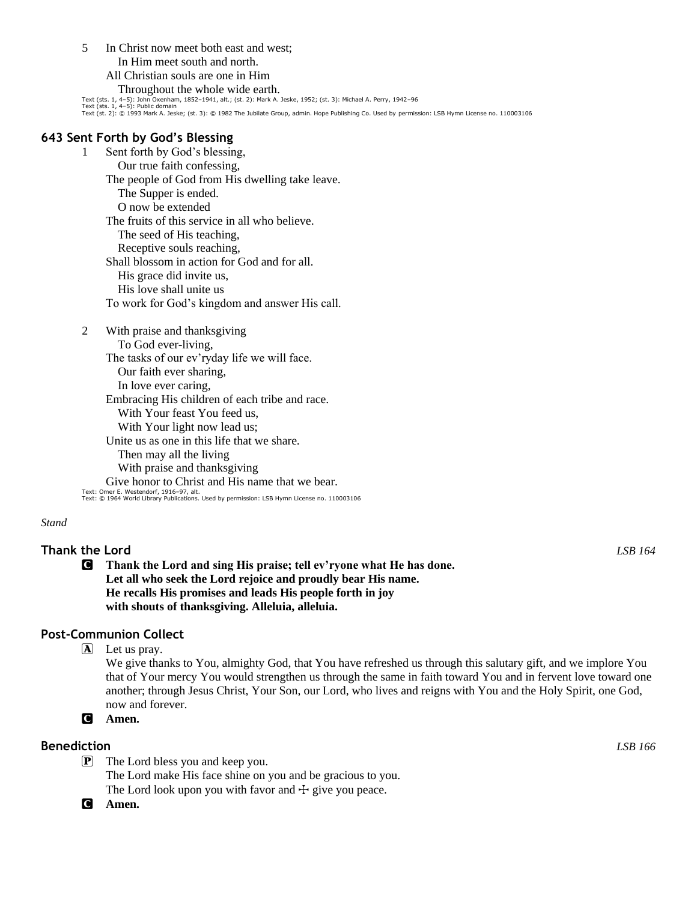5 In Christ now meet both east and west;

In Him meet south and north.

All Christian souls are one in Him

 Throughout the whole wide earth. Text (sts. 1, 4–5): John Oxenham, 1852–1941, alt.; (st. 2): Mark A. Jeske, 1952; (st. 3): Michael A. Perry, 1942–96 Text (sts. 1, 4–5): Public domain

Text (st. 2): © 1993 Mark A. Jeske; (st. 3): © 1982 The Jubilate Group, admin. Hope Publishing Co. Used by permission: LSB Hymn License no. 110003106

# **643 Sent Forth by God's Blessing**

1 Sent forth by God's blessing, Our true faith confessing, The people of God from His dwelling take leave. The Supper is ended. O now be extended The fruits of this service in all who believe. The seed of His teaching, Receptive souls reaching, Shall blossom in action for God and for all. His grace did invite us, His love shall unite us To work for God's kingdom and answer His call.

2 With praise and thanksgiving To God ever-living, The tasks of our ev'ryday life we will face. Our faith ever sharing, In love ever caring, Embracing His children of each tribe and race. With Your feast You feed us, With Your light now lead us; Unite us as one in this life that we share. Then may all the living With praise and thanksgiving Give honor to Christ and His name that we bear. Text: Omer E. Westendorf, 1916–97, alt. Text: © 1964 World Library Publications. Used by permission: LSB Hymn License no. 110003106

*Stand*

# **Thank the Lord** *LSB 164*

C **Thank the Lord and sing His praise; tell ev'ryone what He has done. Let all who seek the Lord rejoice and proudly bear His name. He recalls His promises and leads His people forth in joy with shouts of thanksgiving. Alleluia, alleluia.**

# **Post-Communion Collect**

A Let us pray.

We give thanks to You, almighty God, that You have refreshed us through this salutary gift, and we implore You that of Your mercy You would strengthen us through the same in faith toward You and in fervent love toward one another; through Jesus Christ, Your Son, our Lord, who lives and reigns with You and the Holy Spirit, one God, now and forever.

C **Amen.**

# **Benediction** *LSB 166*

P The Lord bless you and keep you. The Lord make His face shine on you and be gracious to you. The Lord look upon you with favor and  $\pm$  give you peace.

C **Amen.**